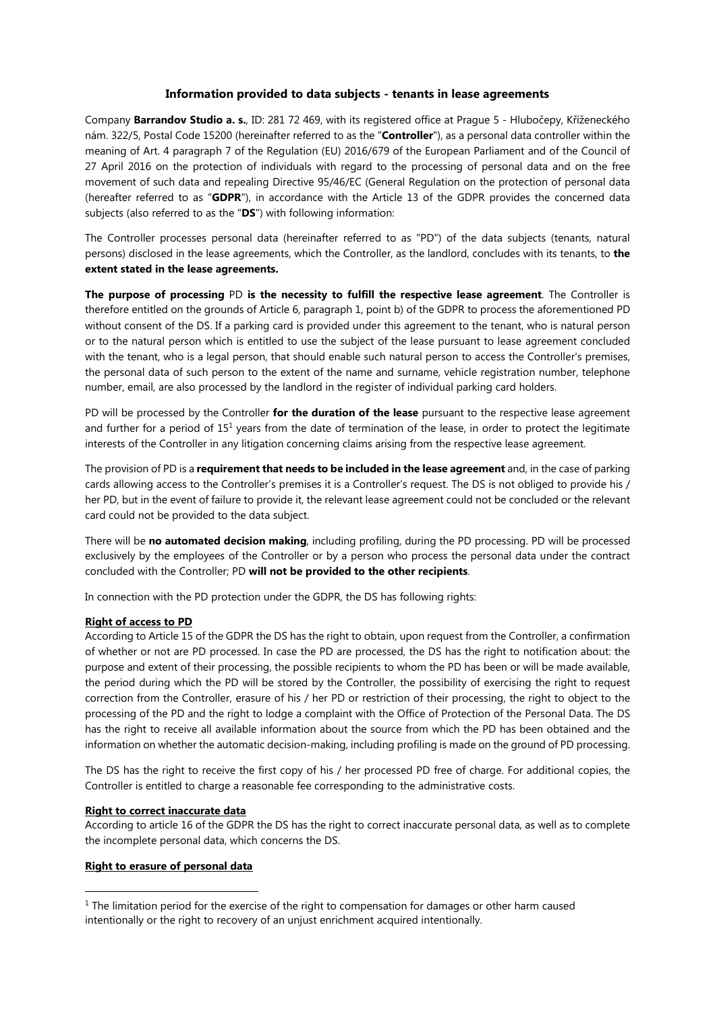### **Information provided to data subjects - tenants in lease agreements**

Company **Barrandov Studio a. s.**, ID: 281 72 469, with its registered office at Prague 5 - Hlubočepy, Kříženeckého nám. 322/5, Postal Code 15200 (hereinafter referred to as the "**Controller**"), as a personal data controller within the meaning of Art. 4 paragraph 7 of the Regulation (EU) 2016/679 of the European Parliament and of the Council of 27 April 2016 on the protection of individuals with regard to the processing of personal data and on the free movement of such data and repealing Directive 95/46/EC (General Regulation on the protection of personal data (hereafter referred to as "**GDPR**"), in accordance with the Article 13 of the GDPR provides the concerned data subjects (also referred to as the "**DS**") with following information:

The Controller processes personal data (hereinafter referred to as "PD") of the data subjects (tenants, natural persons) disclosed in the lease agreements, which the Controller, as the landlord, concludes with its tenants, to **the extent stated in the lease agreements.** 

**The purpose of processing** PD **is the necessity to fulfill the respective lease agreement**. The Controller is therefore entitled on the grounds of Article 6, paragraph 1, point b) of the GDPR to process the aforementioned PD without consent of the DS. If a parking card is provided under this agreement to the tenant, who is natural person or to the natural person which is entitled to use the subject of the lease pursuant to lease agreement concluded with the tenant, who is a legal person, that should enable such natural person to access the Controller's premises, the personal data of such person to the extent of the name and surname, vehicle registration number, telephone number, email, are also processed by the landlord in the register of individual parking card holders.

PD will be processed by the Controller **for the duration of the lease** pursuant to the respective lease agreement and further for a period of 15<sup>1</sup> years from the date of termination of the lease, in order to protect the legitimate interests of the Controller in any litigation concerning claims arising from the respective lease agreement.

The provision of PD is a **requirement that needs to be included in the lease agreement** and, in the case of parking cards allowing access to the Controller's premises it is a Controller's request. The DS is not obliged to provide his / her PD, but in the event of failure to provide it, the relevant lease agreement could not be concluded or the relevant card could not be provided to the data subject.

There will be **no automated decision making**, including profiling, during the PD processing. PD will be processed exclusively by the employees of the Controller or by a person who process the personal data under the contract concluded with the Controller; PD **will not be provided to the other recipients**.

In connection with the PD protection under the GDPR, the DS has following rights:

## **Right of access to PD**

According to Article 15 of the GDPR the DS has the right to obtain, upon request from the Controller, a confirmation of whether or not are PD processed. In case the PD are processed, the DS has the right to notification about: the purpose and extent of their processing, the possible recipients to whom the PD has been or will be made available, the period during which the PD will be stored by the Controller, the possibility of exercising the right to request correction from the Controller, erasure of his / her PD or restriction of their processing, the right to object to the processing of the PD and the right to lodge a complaint with the Office of Protection of the Personal Data. The DS has the right to receive all available information about the source from which the PD has been obtained and the information on whether the automatic decision-making, including profiling is made on the ground of PD processing.

The DS has the right to receive the first copy of his / her processed PD free of charge. For additional copies, the Controller is entitled to charge a reasonable fee corresponding to the administrative costs.

#### **Right to correct inaccurate data**

According to article 16 of the GDPR the DS has the right to correct inaccurate personal data, as well as to complete the incomplete personal data, which concerns the DS.

#### **Right to erasure of personal data**

 $\overline{a}$ 

<sup>&</sup>lt;sup>1</sup> The limitation period for the exercise of the right to compensation for damages or other harm caused intentionally or the right to recovery of an unjust enrichment acquired intentionally.